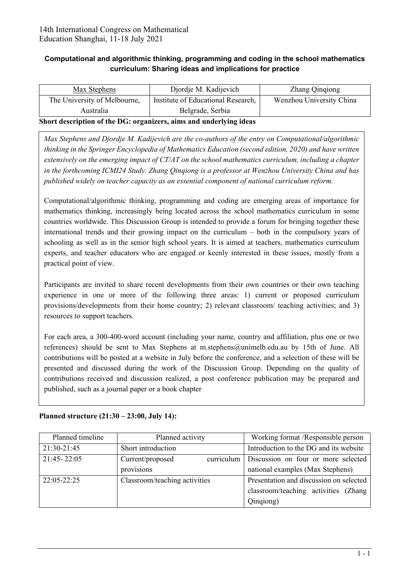## **Computational and algorithmic thinking, programming and coding in the school mathematics curriculum: Sharing ideas and implications for practice**

| Max Stephens                                                        | Djordje M. Kadijevich              | Zhang Qinqiong           |  |  |
|---------------------------------------------------------------------|------------------------------------|--------------------------|--|--|
| The University of Melbourne,                                        | Institute of Educational Research, | Wenzhou University China |  |  |
| Australia                                                           | Belgrade, Serbia                   |                          |  |  |
| Short description of the DCs quantizers, alms and underlying ideas. |                                    |                          |  |  |

## **Short description of the DG: organizers, aims and underlying ideas**

*Max Stephens and Djordje M. Kadijevich are the co-authors of the entry on Computational/algorithmic thinking in the Springer Encyclopedia of Mathematics Education (second edition, 2020) and have written extensively on the emerging impact of CT/AT on the school mathematics curriculum, including a chapter in the forthcoming ICMI24 Study. Zhang Qinqiong is a professor at Wenzhou University China and has published widely on teacher capacity as an essential component of national curriculum reform.*

Computational/algorithmic thinking, programming and coding are emerging areas of importance for mathematics thinking, increasingly being located across the school mathematics curriculum in some countries worldwide. This Discussion Group is intended to provide a forum for bringing together these international trends and their growing impact on the curriculum – both in the compulsory years of schooling as well as in the senior high school years. It is aimed at teachers, mathematics curriculum experts, and teacher educators who are engaged or keenly interested in these issues, mostly from a practical point of view.

Participants are invited to share recent developments from their own countries or their own teaching experience in one or more of the following three areas: 1) current or proposed curriculum provisions/developments from their home country; 2) relevant classroom/ teaching activities; and 3) resources to support teachers.

For each area, a 300-400-word account (including your name, country and affiliation, plus one or two references) should be sent to Max Stephens at [m.stephens@unimelb.edu.au](mailto:m.stephens@unimelb.edu.au) by 15th of June. All contributions will be posted at a website in July before the conference, and a selection of these will be presented and discussed during the work of the Discussion Group. Depending on the quality of contributions received and discussion realized, a post conference publication may be prepared and published, such as a journal paper or a book chapter

| Planned timeline | Planned activity               | Working format /Responsible person      |
|------------------|--------------------------------|-----------------------------------------|
| 21:30-21:45      | Short introduction             | Introduction to the DG and its website  |
| 21:45 - 22:05    | curriculum<br>Current/proposed | Discussion on four or more selected     |
|                  | provisions                     | national examples (Max Stephens)        |
| 22:05-22:25      | Classroom/teaching activities  | Presentation and discussion on selected |
|                  |                                | classroom/teaching activities (Zhang    |
|                  |                                | Qinqiong)                               |

## **Planned structure (21:30 – 23:00, July 14):**